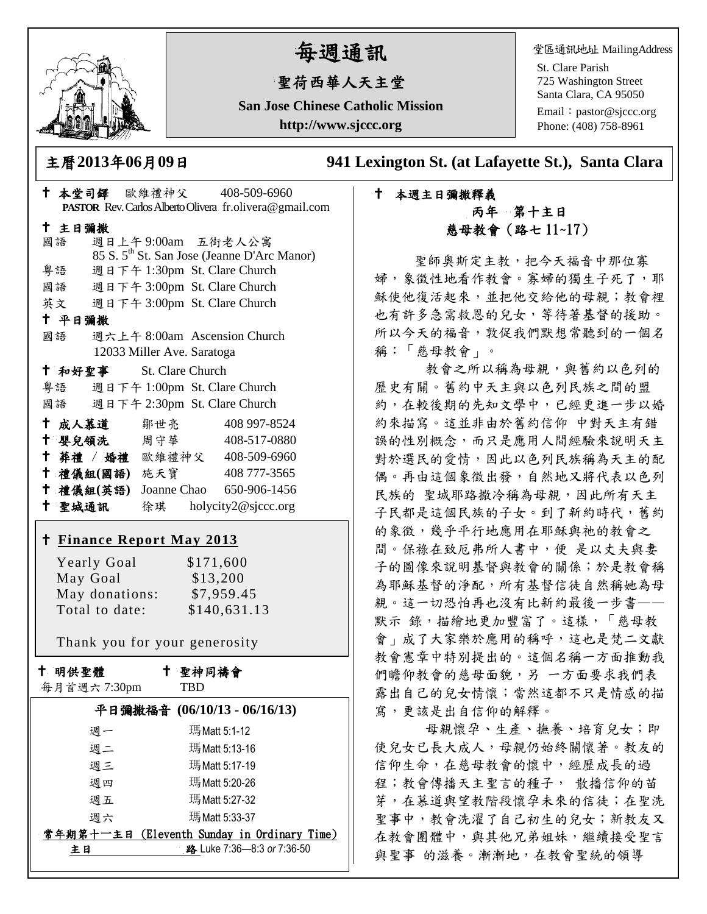

# 每週通訊

## 聖荷西華人天主堂

**San Jose Chinese Catholic Mission http://www.sjccc.org**

堂區通訊地址 MailingAddress

St. Clare Parish 725 Washington Street Santa Clara, CA 95050

Email: [pastor@sjccc.org](mailto:pastor@sjccc.org) Phone: (408) 758-8961

主曆**2013**年**06**月**09**日 **941 Lexington St. (at Lafayette St.), Santa Clara** 

### 本週主日彌撒釋義 丙年 第十主日 慈母教會(路七 11~17)

 聖師奧斯定主教,把今天福音中那位寡 婦,象徵性地看作教會。寡婦的獨生子死了,耶 穌使他復活起來,並把他交給他的母親;教會裡 也有許多急需救恩的兒女,等待著基督的援助。 所以今天的福音,敦促我們默想常聽到的一個名 稱:「慈母教會」。

教會之所以稱為母親,與舊約以色列的 歷史有關。舊約中天主與以色列民族之間的盟 約,在較後期的先知文學中,已經更進一步以婚 約來描寫。這並非由於舊約信仰 中對天主有錯 誤的性別概念,而只是應用人間經驗來說明天主 對於選民的愛情,因此以色列民族稱為天主的配 偶。再由這個象徵出發,自然地又將代表以色列 民族的 聖城耶路撒冷稱為母親,因此所有天主 子民都是這個民族的子女。到了新約時代,舊約 的象徵,幾乎平行地應用在耶穌與祂的教會之 間。保祿在致厄弗所人書中,便 是以丈夫與妻 子的圖像來說明基督與教會的關係;於是教會稱 為耶穌基督的淨配,所有基督信徒自然稱她為母 親。這一切恐怕再也沒有比新約最後一步書—— 默示 錄,描繪地更加豐富了。這樣,「慈母教 會」成了大家樂於應用的稱呼,這也是梵二文獻 教會憲章中特別提出的。這個名稱一方面推動我 們瞻仰教會的慈母面貌,另 一方面要求我們表 露出自己的兒女情懷;當然這都不只是情感的描 寫,更該是出自信仰的解釋。

母親懷孕、生產、撫養、培育兒女;即 使兒女已長大成人,母親仍始終關懷著。教友的 信仰生命,在慈母教會的懷中,經歷成長的過 程;教會傳播天主聖言的種子, 散播信仰的苗 芽,在慕道與望教階段懷孕未來的信徒;在聖洗 聖事中,教會洗濯了自己初生的兒女;新教友又 在教會團體中,與其他兄弟姐妹,繼續接受聖言 與聖事 的滋養。漸漸地,在教會聖統的領導

| † 本堂司鐸 歐維禮神父 408-509-6960          |                                                                              |
|------------------------------------|------------------------------------------------------------------------------|
|                                    | PASTOR Rev. Carlos Alberto Olivera fr.olivera@gmail.com                      |
| 十 主日彌撒                             |                                                                              |
| 國語                                 | 週日上午9:00am 五街老人公寓<br>85 S. 5 <sup>th</sup> St. San Jose (Jeanne D'Arc Manor) |
| 粤語 週日下午 1:30pm St. Clare Church    |                                                                              |
| 國語 週日下午 3:00pm St. Clare Church    |                                                                              |
| 英文 週日下午 3:00pm St. Clare Church    |                                                                              |
| 十 平日彌撒                             |                                                                              |
| 國語 週六上午 8:00am Ascension Church    |                                                                              |
| 12033 Miller Ave. Saratoga         |                                                                              |
| <sup>†</sup> 和好聖事 St. Clare Church |                                                                              |
| 粤語 週日下午 1:00pm St. Clare Church    |                                                                              |
| 國語 週日下午 2:30pm St. Clare Church    |                                                                              |
| † 成人慕道   鄒世亮                       | 408 997-8524                                                                 |
| 十 嬰兒領洗 周守華                         | 408-517-0880                                                                 |
| † 葬禮 / 婚禮 歐維禮神父 408-509-6960       |                                                                              |
| † 禮儀組(國語) 施天寶                      | 408 777-3565                                                                 |
| † 禮儀組(英語) Joanne Chao 650-906-1456 |                                                                              |
| + 聖城通訊 徐琪 holycity2@sjccc.org      |                                                                              |
| <u>† Finance Report May 2013</u>   |                                                                              |
|                                    |                                                                              |
| <b>Yearly Goal</b>                 | \$171,600                                                                    |
| May Goal                           | \$13,200                                                                     |
| May donations: \$7,959.45          |                                                                              |
| Total to date:                     | \$140,631.13                                                                 |
| Thank you for your generosity      |                                                                              |
| 十 明供聖體                             | ↑ 聖神同禱會                                                                      |
| 每月首週六7:30pm                        | <b>TBD</b>                                                                   |
| 平日彌撒福音 (06/10/13 - 06/16/13)       |                                                                              |
|                                    |                                                                              |
| 週一                                 | 瑪Matt 5:1-12                                                                 |
| 週二                                 | 瑪Matt 5:13-16                                                                |
| 週三                                 | 瑪Matt 5:17-19                                                                |
| 週四                                 | 瑪Matt 5:20-26                                                                |
| 週五                                 | 瑪Matt 5:27-32                                                                |
| 週六                                 | 瑪Matt 5:33-37                                                                |

**常年期第十一主日 (Eleventh Sunday in Ordinary Time)** 主日 主日 路 Luke 7:36—8:3 *or* 7:36-50